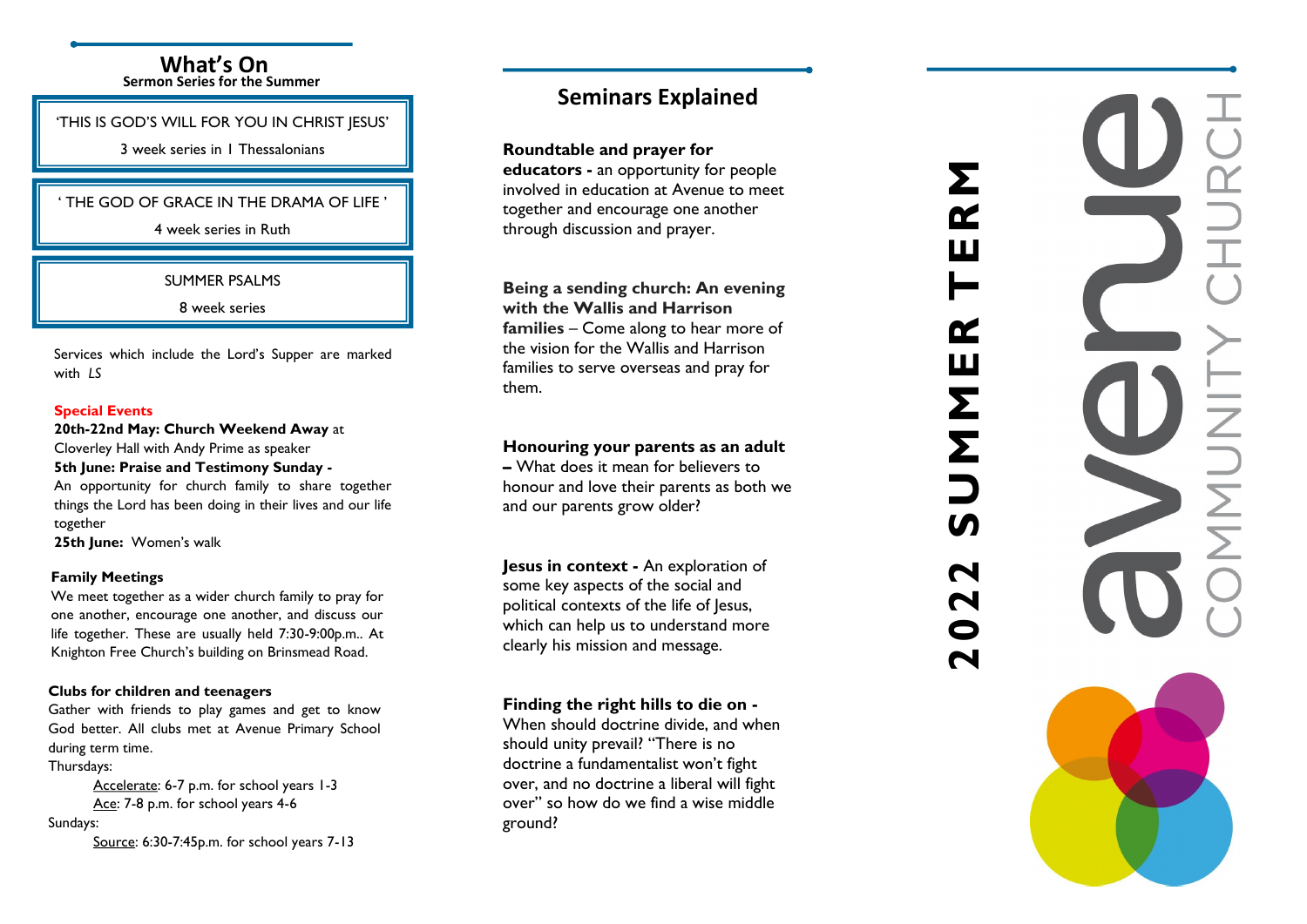### **What 's On Sermon Series for the Summer**

'THIS IS GOD'S WILL FOR YOU IN CHRIST JESUS'

3 week series in 1 Thessalonians

### ' THE GOD OF GRACE IN THE DRAMA OF LIFE '

4 week series in Ruth

SUMMER PSALMS

8 week series

Services which include the Lord's Supper are marked with *LS*

### **Special Events**

**20th -22nd May: Church Weekend Away** at

Cloverley Hall with Andy Prime as speaker **5th June: Praise and Testimony Sunday -** An opportunity for church family to share together

things the Lord has been doing in their lives and our life together

**25th June:** Women's walk

### **Family Meetings**

We meet together as a wider church family to pray for one another, encourage one another, and discuss our life together. These are usually held 7:30 -9:00p.m.. At Knighton Free Church's building on Brinsmead Road.

### **Clubs for children and teenagers**

Gather with friends to play games and get to know God better. All clubs met at Avenue Primary School during term time.

Thursdays:

Accelerate: 6-7 p.m. for school years 1-3 <u>Ace</u>: 7-8 p.m. for school years 4-6

Sundays:

Source: 6:30 -7:45p.m. for school years 7 -13

# **Seminars Explained**

**Roundtable and prayer for** 

**educators -** an opportunity for people involved in education at Avenue to meet together and encourage one another through discussion and prayer.

**Being a sending church: An evening with the Wallis and Harrison** 

**families** – Come along to hear more of the vision for the Wallis and Harrison families to serve overseas and pray for them.

## **Honouring your parents as an adult**

**–** What does it mean for believers to honour and love their parents as both we and our parents grow older?

**Jesus in context -** An exploration of some key aspects of the social and political contexts of the life of Jesus, which can help us to understand more clearly his mission and message.

# **Finding the right hills to die on -**

When should doctrine divide, and when should unity prevail? "There is no doctrine a fundamentalist won't fight over, and no doctrine a liberal will fight over" so how do we find a wise middle ground?

# **2022 SUMMER TERM**

Σ

ſŹ

ſY

Ш

Σ

Σ

 $\overline{\mathbf{N}}$